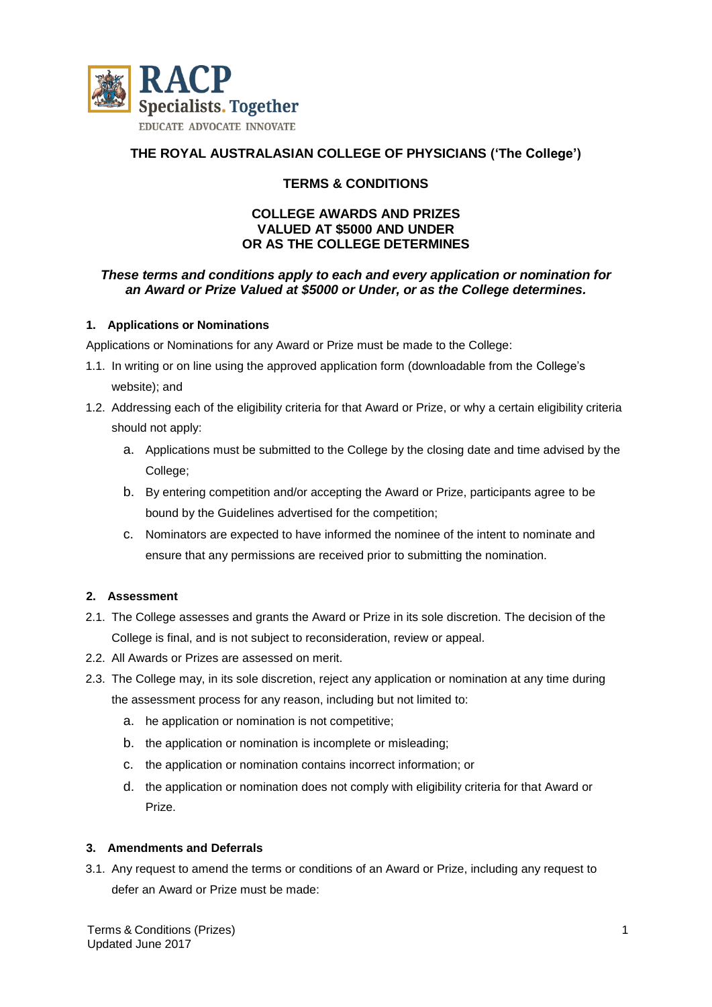

# **THE ROYAL AUSTRALASIAN COLLEGE OF PHYSICIANS ('The College')**

## **TERMS & CONDITIONS**

### **COLLEGE AWARDS AND PRIZES VALUED AT \$5000 AND UNDER OR AS THE COLLEGE DETERMINES**

### *These terms and conditions apply to each and every application or nomination for an Award or Prize Valued at \$5000 or Under, or as the College determines.*

### **1. Applications or Nominations**

Applications or Nominations for any Award or Prize must be made to the College:

- 1.1. In writing or on line using the approved application form (downloadable from the College's website); and
- 1.2. Addressing each of the eligibility criteria for that Award or Prize, or why a certain eligibility criteria should not apply:
	- a. Applications must be submitted to the College by the closing date and time advised by the College:
	- b. By entering competition and/or accepting the Award or Prize, participants agree to be bound by the Guidelines advertised for the competition;
	- c. Nominators are expected to have informed the nominee of the intent to nominate and ensure that any permissions are received prior to submitting the nomination.

### **2. Assessment**

- 2.1. The College assesses and grants the Award or Prize in its sole discretion. The decision of the College is final, and is not subject to reconsideration, review or appeal.
- 2.2. All Awards or Prizes are assessed on merit.
- 2.3. The College may, in its sole discretion, reject any application or nomination at any time during the assessment process for any reason, including but not limited to:
	- a. he application or nomination is not competitive;
	- b. the application or nomination is incomplete or misleading;
	- c. the application or nomination contains incorrect information; or
	- d. the application or nomination does not comply with eligibility criteria for that Award or Prize.

### **3. Amendments and Deferrals**

3.1. Any request to amend the terms or conditions of an Award or Prize, including any request to defer an Award or Prize must be made: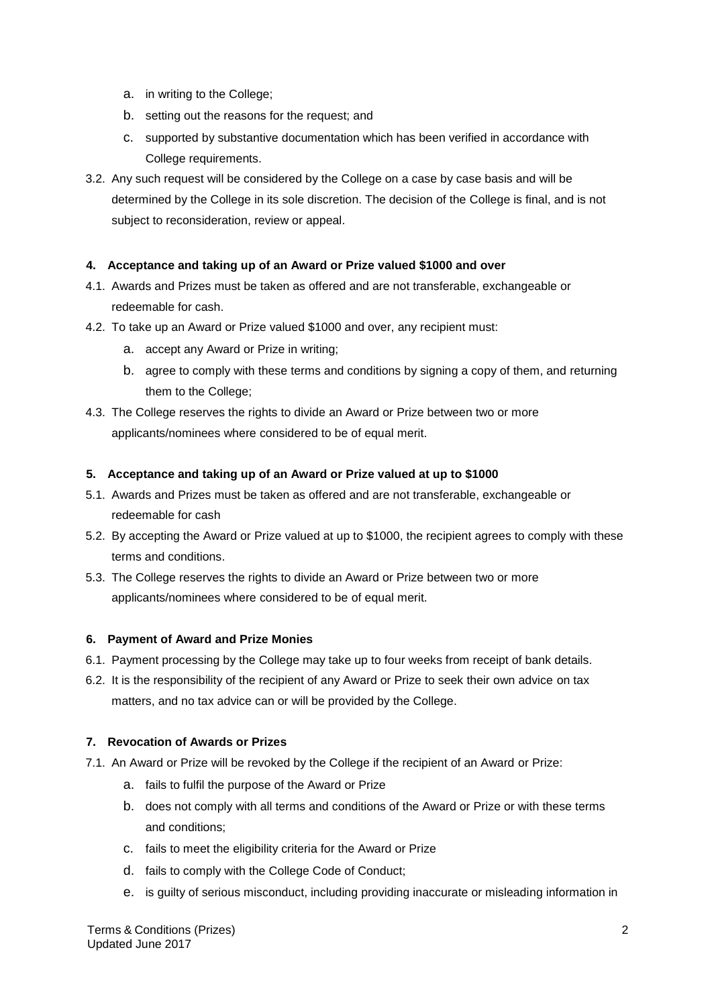- a. in writing to the College;
- b. setting out the reasons for the request; and
- c. supported by substantive documentation which has been verified in accordance with College requirements.
- 3.2. Any such request will be considered by the College on a case by case basis and will be determined by the College in its sole discretion. The decision of the College is final, and is not subject to reconsideration, review or appeal.

### **4. Acceptance and taking up of an Award or Prize valued \$1000 and over**

- 4.1. Awards and Prizes must be taken as offered and are not transferable, exchangeable or redeemable for cash.
- 4.2. To take up an Award or Prize valued \$1000 and over, any recipient must:
	- a. accept any Award or Prize in writing;
	- b. agree to comply with these terms and conditions by signing a copy of them, and returning them to the College;
- 4.3. The College reserves the rights to divide an Award or Prize between two or more applicants/nominees where considered to be of equal merit.

### **5. Acceptance and taking up of an Award or Prize valued at up to \$1000**

- 5.1. Awards and Prizes must be taken as offered and are not transferable, exchangeable or redeemable for cash
- 5.2. By accepting the Award or Prize valued at up to \$1000, the recipient agrees to comply with these terms and conditions.
- 5.3. The College reserves the rights to divide an Award or Prize between two or more applicants/nominees where considered to be of equal merit.

### **6. Payment of Award and Prize Monies**

- 6.1. Payment processing by the College may take up to four weeks from receipt of bank details.
- 6.2. It is the responsibility of the recipient of any Award or Prize to seek their own advice on tax matters, and no tax advice can or will be provided by the College.

### **7. Revocation of Awards or Prizes**

- 7.1. An Award or Prize will be revoked by the College if the recipient of an Award or Prize:
	- a. fails to fulfil the purpose of the Award or Prize
	- b. does not comply with all terms and conditions of the Award or Prize or with these terms and conditions;
	- c. fails to meet the eligibility criteria for the Award or Prize
	- d. fails to comply with the College Code of Conduct;
	- e. is guilty of serious misconduct, including providing inaccurate or misleading information in